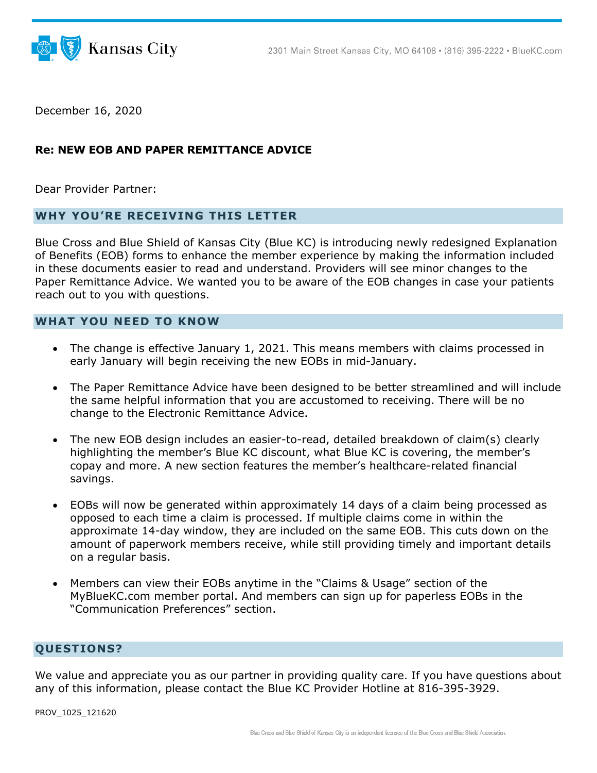

December 16, 2020

## **Re: NEW EOB AND PAPER REMITTANCE ADVICE**

Dear Provider Partner:

## **WHY YOU'RE RECEIVING THIS LETTER**

Blue Cross and Blue Shield of Kansas City (Blue KC) is introducing newly redesigned Explanation of Benefits (EOB) forms to enhance the member experience by making the information included in these documents easier to read and understand. Providers will see minor changes to the Paper Remittance Advice. We wanted you to be aware of the EOB changes in case your patients reach out to you with questions.

## **WHAT YOU NEED TO KNOW**

- The change is effective January 1, 2021. This means members with claims processed in early January will begin receiving the new EOBs in mid-January.
- The Paper Remittance Advice have been designed to be better streamlined and will include the same helpful information that you are accustomed to receiving. There will be no change to the Electronic Remittance Advice.
- The new EOB design includes an easier-to-read, detailed breakdown of claim(s) clearly highlighting the member's Blue KC discount, what Blue KC is covering, the member's copay and more. A new section features the member's healthcare-related financial savings.
- EOBs will now be generated within approximately 14 days of a claim being processed as opposed to each time a claim is processed. If multiple claims come in within the approximate 14-day window, they are included on the same EOB. This cuts down on the amount of paperwork members receive, while still providing timely and important details on a regular basis.
- Members can view their EOBs anytime in the "Claims & Usage" section of the MyBlueKC.com member portal. And members can sign up for paperless EOBs in the "Communication Preferences" section.

## **QUESTIONS?**

We value and appreciate you as our partner in providing quality care. If you have questions about any of this information, please contact the Blue KC Provider Hotline at 816-395-3929.